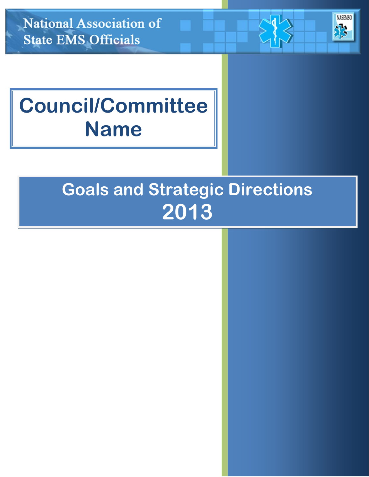**National Association of State EMS Officials** 

# **NASEMSO**

# **Council/Committee Name**

# **Goals and Strategic Directions 2013**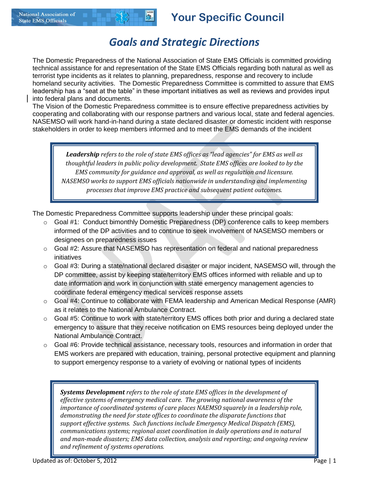#### *Goals and Strategic Directions*

The Domestic Preparedness of the National Association of State EMS Officials is committed providing technical assistance for and representation of the State EMS Officials regarding both natural as well as terrorist type incidents as it relates to planning, preparedness, response and recovery to include homeland security activities. The Domestic Preparedness Committee is committed to assure that EMS leadership has a "seat at the table" in these important initiatives as well as reviews and provides input into federal plans and documents.

The Vision of the Domestic Preparedness committee is to ensure effective preparedness activities by cooperating and collaborating with our response partners and various local, state and federal agencies. NASEMSO will work hand-in-hand during a state declared disaster or domestic incident with response stakeholders in order to keep members informed and to meet the EMS demands of the incident

*Leadership refers to the role of state EMS offices as "lead agencies" for EMS as well as thoughtful leaders in public policy development. State EMS offices are looked to by the EMS community for guidance and approval, as well as regulation and licensure. NASEMSO works to support EMS officials nationwide in understanding and implementing processes that improve EMS practice and subsequent patient outcomes.*

The Domestic Preparedness Committee supports leadership under these principal goals:

- $\circ$  Goal #1: Conduct bimonthly Domestic Preparedness (DP) conference calls to keep members informed of the DP activities and to continue to seek involvement of NASEMSO members or designees on preparedness issues
- o Goal #2: Assure that NASEMSO has representation on federal and national preparedness initiatives
- $\circ$  Goal #3: During a state/national declared disaster or major incident, NASEMSO will, through the DP committee, assist by keeping state/territory EMS offices informed with reliable and up to date information and work in conjunction with state emergency management agencies to coordinate federal emergency medical services response assets
- o Goal #4: Continue to collaborate with FEMA leadership and American Medical Response (AMR) as it relates to the National Ambulance Contract.
- $\circ$  Goal #5: Continue to work with state/territory EMS offices both prior and during a declared state emergency to assure that they receive notification on EMS resources being deployed under the National Ambulance Contract.
- $\circ$  Goal #6: Provide technical assistance, necessary tools, resources and information in order that EMS workers are prepared with education, training, personal protective equipment and planning to support emergency response to a variety of evolving or national types of incidents

*Systems Development refers to the role of state EMS offices in the development of effective systems of emergency medical care. The growing national awareness of the importance of coordinated systems of care places NAEMSO squarely in a leadership role, demonstrating the need for state offices to coordinate the disparate functions that support effective systems. Such functions include Emergency Medical Dispatch (EMS), communications systems; regional asset coordination in daily operations and in natural and man-made disasters; EMS data collection, analysis and reporting; and ongoing review and refinement of systems operations.*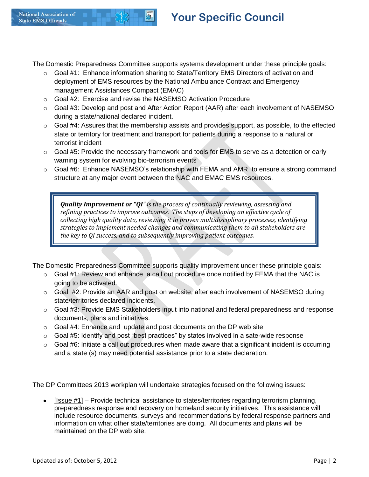The Domestic Preparedness Committee supports systems development under these principle goals:

- o Goal #1: Enhance information sharing to State/Territory EMS Directors of activation and deployment of EMS resources by the National Ambulance Contract and Emergency management Assistances Compact (EMAC)
- o Goal #2: Exercise and revise the NASEMSO Activation Procedure
- $\circ$  Goal #3: Develop and post and After Action Report (AAR) after each involvement of NASEMSO during a state/national declared incident.
- o Goal #4: Assures that the membership assists and provides support, as possible, to the effected state or territory for treatment and transport for patients during a response to a natural or terrorist incident
- o Goal #5: Provide the necessary framework and tools for EMS to serve as a detection or early warning system for evolving bio-terrorism events
- $\circ$  Goal #6: Enhance NASEMSO's relationship with FEMA and AMR to ensure a strong command structure at any major event between the NAC and EMAC EMS resources.

*Quality Improvement or "QI" is the process of continually reviewing, assessing and refining practices to improve outcomes. The steps of developing an effective cycle of collecting high quality data, reviewing it in proven multidisciplinary processes, identifying strategies to implement needed changes and communicating them to all stakeholders are the key to QI success, and to subsequently improving patient outcomes.* 

The Domestic Preparedness Committee supports quality improvement under these principle goals:

- o Goal #1: Review and enhance a call out procedure once notified by FEMA that the NAC is going to be activated.
- $\circ$  Goal #2: Provide an AAR and post on website, after each involvement of NASEMSO during state/territories declared incidents.
- $\circ$  Goal #3: Provide EMS Stakeholders input into national and federal preparedness and response documents, plans and initiatives.
- $\circ$  Goal #4: Enhance and update and post documents on the DP web site
- $\circ$  Goal #5: Identify and post "best practices" by states involved in a sate-wide response
- o Goal #6: Initiate a call out procedures when made aware that a significant incident is occurring and a state (s) may need potential assistance prior to a state declaration.

The DP Committees 2013 workplan will undertake strategies focused on the following issues:

[Issue #1] – Provide technical assistance to states/territories regarding terrorism planning,  $\bullet$ preparedness response and recovery on homeland security initiatives. This assistance will include resource documents, surveys and recommendations by federal response partners and information on what other state/territories are doing. All documents and plans will be maintained on the DP web site.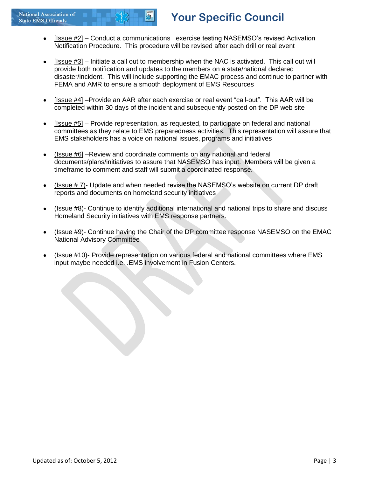- [Issue #2] Conduct a communications exercise testing NASEMSO's revised Activation  $\bullet$ Notification Procedure. This procedure will be revised after each drill or real event
- [Issue #3] Initiate a call out to membership when the NAC is activated. This call out will provide both notification and updates to the members on a state/national declared disaster/incident. This will include supporting the EMAC process and continue to partner with FEMA and AMR to ensure a smooth deployment of EMS Resources
- [Issue #4] –Provide an AAR after each exercise or real event "call-out". This AAR will be completed within 30 days of the incident and subsequently posted on the DP web site
- [Issue #5] Provide representation, as requested, to participate on federal and national committees as they relate to EMS preparedness activities. This representation will assure that EMS stakeholders has a voice on national issues, programs and initiatives
- (Issue #6] –Review and coordinate comments on any national and federal documents/plans/initiatives to assure that NASEMSO has input. Members will be given a timeframe to comment and staff will submit a coordinated response.
- $($  Issue  $# 7$ )- Update and when needed revise the NASEMSO's website on current DP draft  $\bullet$ reports and documents on homeland security initiatives
- (Issue #8)- Continue to identify additional international and national trips to share and discuss Homeland Security initiatives with EMS response partners.
- (Issue #9)- Continue having the Chair of the DP committee response NASEMSO on the EMAC National Advisory Committee
- (Issue #10)- Provide representation on various federal and national committees where EMS input maybe needed i.e. .EMS involvement in Fusion Centers.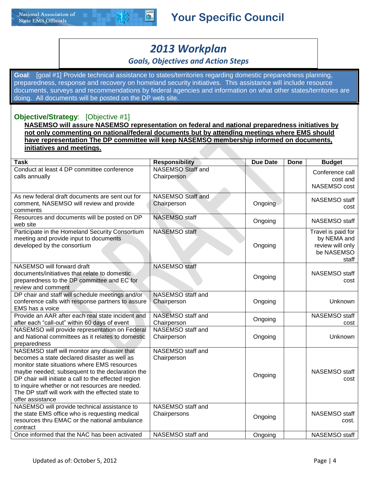

### *2013 Workplan*

#### *Goals, Objectives and Action Steps*

**Goal**: [goal #1] Provide technical assistance to states/territories regarding domestic preparedness planning, preparedness, response and recovery on homeland security initiatives. This assistance will include resource documents, surveys and recommendations by federal agencies and information on what other states/territories are doing. All documents will be posted on the DP web site.

#### **Objective/Strategy**: [Objective #1]

**NASEMSO will assure NASEMSO representation on federal and national preparedness initiatives by not only commenting on national/federal documents but by attending meetings where EMS should have representation The DP committee will keep NASEMSO membership informed on documents, initiatives and meetings.** 

| <b>Task</b>                                                                                                                                                                                                                                                                                                                                                                         | <b>Responsibility</b>                   | <b>Due Date</b> | Done | <b>Budget</b>                                                                |
|-------------------------------------------------------------------------------------------------------------------------------------------------------------------------------------------------------------------------------------------------------------------------------------------------------------------------------------------------------------------------------------|-----------------------------------------|-----------------|------|------------------------------------------------------------------------------|
| Conduct at least 4 DP committee conference<br>calls annually                                                                                                                                                                                                                                                                                                                        | <b>NASEMSO</b> Staff and<br>Chairperson |                 |      | Conference call<br>cost and<br>NASEMSO cost                                  |
| As new federal draft documents are sent out for<br>comment, NASEMSO will review and provide<br>comments                                                                                                                                                                                                                                                                             | <b>NASEMSO Staff and</b><br>Chairperson | Ongoing         |      | NASEMSO staff<br>cost                                                        |
| Resources and documents will be posted on DP<br>web site                                                                                                                                                                                                                                                                                                                            | <b>NASEMSO</b> staff                    | Ongoing         |      | NASEMSO staff                                                                |
| Participate in the Homeland Security Consortium<br>meeting and provide input to documents<br>developed by the consortium                                                                                                                                                                                                                                                            | <b>NASEMSO</b> staff                    | Ongoing         |      | Travel is paid for<br>by NEMA and<br>review will only<br>be NASEMSO<br>staff |
| NASEMSO will forward draft<br>documents/initiatives that relate to domestic<br>preparedness to the DP committee and EC for<br>review and comment                                                                                                                                                                                                                                    | <b>NASEMSO</b> staff                    | Ongoing         |      | NASEMSO staff<br>cost                                                        |
| DP chair and staff will schedule meetings and/or<br>conference calls with response partners to assure<br>EMS has a voice                                                                                                                                                                                                                                                            | NASEMSO staff and<br>Chairperson        | Ongoing         |      | Unknown                                                                      |
| Provide an AAR after each real state incident and<br>after each "call-out" within 60 days of event                                                                                                                                                                                                                                                                                  | NASEMSO staff and<br>Chairperson        | Ongoing         |      | <b>NASEMSO</b> staff<br>cost                                                 |
| NASEMSO will provide representation on Federal<br>and National committees as it relates to domestic<br>preparedness                                                                                                                                                                                                                                                                 | NASEMSO staff and<br>Chairperson        | Ongoing         |      | <b>Unknown</b>                                                               |
| NASEMSO staff will monitor any disaster that<br>becomes a state declared disaster as well as<br>monitor state situations where EMS resources<br>maybe needed; subsequent to the declaration the<br>DP chair will initiate a call to the effected region<br>to inquire whether or not resources are needed.<br>The DP staff will work with the effected state to<br>offer assistance | NASEMSO staff and<br>Chairperson        | Ongoing         |      | NASEMSO staff<br>cost                                                        |
| NASEMSO will provide technical assistance to<br>the state EMS office who is requesting medical<br>resources thru EMAC or the national ambulance<br>contract                                                                                                                                                                                                                         | NASEMSO staff and<br>Chairpersons       | Ongoing         |      | NASEMSO staff<br>cost.                                                       |
| Once informed that the NAC has been activated                                                                                                                                                                                                                                                                                                                                       | NASEMSO staff and                       | Ongoing         |      | NASEMSO staff                                                                |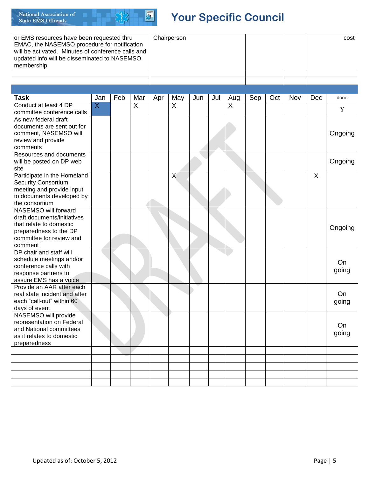

| or EMS resources have been requested thru<br>EMAC, the NASEMSO procedure for notification<br>will be activated. Minutes of conference calls and<br>updated info will be disseminated to NASEMSO<br>membership |                |     |     | Chairperson |     |     |     |                |     |     |     | cost |         |  |
|---------------------------------------------------------------------------------------------------------------------------------------------------------------------------------------------------------------|----------------|-----|-----|-------------|-----|-----|-----|----------------|-----|-----|-----|------|---------|--|
|                                                                                                                                                                                                               |                |     |     |             |     |     |     |                |     |     |     |      |         |  |
|                                                                                                                                                                                                               |                |     |     |             |     |     |     |                |     |     |     |      |         |  |
|                                                                                                                                                                                                               |                |     |     |             |     |     |     |                |     |     |     |      |         |  |
| <b>Task</b>                                                                                                                                                                                                   | Jan            | Feb | Mar | Apr         | May | Jun | Jul | Aug            | Sep | Oct | Nov | Dec  | done    |  |
| Conduct at least 4 DP                                                                                                                                                                                         | $\overline{X}$ |     | X   |             | X   |     |     | $\overline{X}$ |     |     |     |      |         |  |
| committee conference calls                                                                                                                                                                                    |                |     |     |             |     |     |     |                |     |     |     |      | Y       |  |
| As new federal draft                                                                                                                                                                                          |                |     |     |             |     |     |     |                |     |     |     |      |         |  |
| documents are sent out for                                                                                                                                                                                    |                |     |     |             |     |     |     |                |     |     |     |      |         |  |
| comment, NASEMSO will                                                                                                                                                                                         |                |     |     |             |     |     |     |                |     |     |     |      | Ongoing |  |
| review and provide                                                                                                                                                                                            |                |     |     |             |     |     |     |                |     |     |     |      |         |  |
| comments                                                                                                                                                                                                      |                |     |     |             |     |     |     |                |     |     |     |      |         |  |
| Resources and documents                                                                                                                                                                                       |                |     |     |             |     |     |     |                |     |     |     |      |         |  |
| will be posted on DP web                                                                                                                                                                                      |                |     |     |             |     |     |     |                |     |     |     |      | Ongoing |  |
| site                                                                                                                                                                                                          |                |     |     |             |     |     |     |                |     |     |     |      |         |  |
| Participate in the Homeland                                                                                                                                                                                   |                |     |     |             | X   |     |     |                |     |     |     | X    |         |  |
| <b>Security Consortium</b>                                                                                                                                                                                    |                |     |     |             |     |     |     |                |     |     |     |      |         |  |
| meeting and provide input                                                                                                                                                                                     |                |     |     |             |     |     |     |                |     |     |     |      |         |  |
| to documents developed by                                                                                                                                                                                     |                |     |     |             |     |     |     |                |     |     |     |      |         |  |
| the consortium                                                                                                                                                                                                |                |     |     |             |     |     |     |                |     |     |     |      |         |  |
| NASEMSO will forward                                                                                                                                                                                          |                |     |     |             |     |     |     |                |     |     |     |      |         |  |
| draft documents/initiatives                                                                                                                                                                                   |                |     |     |             |     |     |     |                |     |     |     |      |         |  |
| that relate to domestic                                                                                                                                                                                       |                |     |     |             |     |     |     |                |     |     |     |      | Ongoing |  |
| preparedness to the DP<br>committee for review and                                                                                                                                                            |                |     |     |             |     |     |     |                |     |     |     |      |         |  |
| comment                                                                                                                                                                                                       |                |     |     |             |     |     |     |                |     |     |     |      |         |  |
| DP chair and staff will                                                                                                                                                                                       |                |     |     |             |     |     |     |                |     |     |     |      |         |  |
| schedule meetings and/or                                                                                                                                                                                      |                |     |     |             |     |     |     |                |     |     |     |      |         |  |
| conference calls with                                                                                                                                                                                         |                |     |     |             |     |     |     |                |     |     |     |      | On      |  |
| response partners to                                                                                                                                                                                          |                |     |     |             |     |     |     |                |     |     |     |      | going   |  |
| assure EMS has a voice                                                                                                                                                                                        |                |     |     |             |     |     |     |                |     |     |     |      |         |  |
| Provide an AAR after each                                                                                                                                                                                     |                |     |     |             |     |     |     |                |     |     |     |      |         |  |
| real state incident and after                                                                                                                                                                                 |                |     |     |             |     |     |     |                |     |     |     |      | On      |  |
| each "call-out" within 60                                                                                                                                                                                     |                |     |     |             |     |     |     |                |     |     |     |      | going   |  |
| days of event                                                                                                                                                                                                 |                |     |     |             |     |     |     |                |     |     |     |      |         |  |
| NASEMSO will provide                                                                                                                                                                                          |                |     |     |             |     |     |     |                |     |     |     |      |         |  |
| representation on Federal                                                                                                                                                                                     |                |     |     |             |     |     |     |                |     |     |     |      |         |  |
| and National committees                                                                                                                                                                                       |                |     |     |             |     |     |     |                |     |     |     |      | On      |  |
| as it relates to domestic                                                                                                                                                                                     |                |     |     |             |     |     |     |                |     |     |     |      | going   |  |
| preparedness                                                                                                                                                                                                  |                |     |     |             |     |     |     |                |     |     |     |      |         |  |
|                                                                                                                                                                                                               |                |     |     |             |     |     |     |                |     |     |     |      |         |  |
|                                                                                                                                                                                                               |                |     |     |             |     |     |     |                |     |     |     |      |         |  |
|                                                                                                                                                                                                               |                |     |     |             |     |     |     |                |     |     |     |      |         |  |
|                                                                                                                                                                                                               |                |     |     |             |     |     |     |                |     |     |     |      |         |  |
|                                                                                                                                                                                                               |                |     |     |             |     |     |     |                |     |     |     |      |         |  |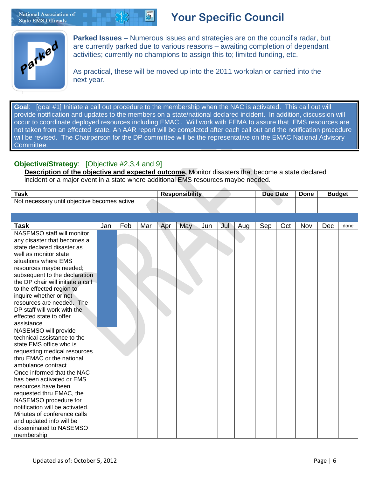National Association of **State EMS Officials** 

### **Your Specific Council**



**Parked Issues** – Numerous issues and strategies are on the council's radar, but are currently parked due to various reasons – awaiting completion of dependant activities; currently no champions to assign this to; limited funding, etc.

As practical, these will be moved up into the 2011 workplan or carried into the next year.

**Goal**: [goal #1] Initiate a call out procedure to the membership when the NAC is activated. This call out will provide notification and updates to the members on a state/national declared incident. In addition, discussion will occur to coordinate deployed resources including EMAC . Will work with FEMA to assure that EMS resources are not taken from an effected state. An AAR report will be completed after each call out and the notification procedure will be revised. The Chairperson for the DP committee will be the representative on the EMAC National Advisory Committee.

#### **Objective/Strategy**: [Objective #2,3,4 and 9]

**Description of the objective and expected outcome,** Monitor disasters that become a state declared incident or a major event in a state where additional EMS resources maybe needed.

| Task                                                                   | <b>Responsibility</b> | <b>Date</b><br>Due: | <b>Done</b> | Budae |
|------------------------------------------------------------------------|-----------------------|---------------------|-------------|-------|
| <b>Not</b><br><sup>,</sup> until obiective becomes active<br>necessarv |                       |                     |             |       |
|                                                                        |                       |                     |             |       |

| <b>Task</b>                                               | Jan | Feb | Mar | Apr | May | Jun | Jul | Aug | Sep | Oct | Nov | Dec | done |
|-----------------------------------------------------------|-----|-----|-----|-----|-----|-----|-----|-----|-----|-----|-----|-----|------|
| NASEMSO staff will monitor                                |     |     |     |     |     |     |     |     |     |     |     |     |      |
| any disaster that becomes a                               |     |     |     |     |     |     |     |     |     |     |     |     |      |
| state declared disaster as                                |     |     |     |     |     |     |     |     |     |     |     |     |      |
| well as monitor state                                     |     |     |     |     |     |     |     |     |     |     |     |     |      |
| situations where EMS                                      |     |     |     |     |     |     |     |     |     |     |     |     |      |
| resources maybe needed;                                   |     |     |     |     |     |     |     |     |     |     |     |     |      |
| subsequent to the declaration                             |     |     |     |     |     |     |     |     |     |     |     |     |      |
| the DP chair will initiate a call                         |     |     |     |     |     |     |     |     |     |     |     |     |      |
| to the effected region to                                 |     |     |     |     |     |     |     |     |     |     |     |     |      |
| inquire whether or not                                    |     |     |     |     |     |     |     |     |     |     |     |     |      |
| resources are needed. The                                 |     |     |     |     |     |     |     |     |     |     |     |     |      |
| DP staff will work with the                               |     |     |     |     |     |     |     |     |     |     |     |     |      |
| effected state to offer                                   |     |     |     |     |     |     |     |     |     |     |     |     |      |
| assistance                                                |     |     |     |     |     |     |     |     |     |     |     |     |      |
| NASEMSO will provide                                      |     |     |     |     |     |     |     |     |     |     |     |     |      |
| technical assistance to the                               |     |     |     |     |     |     |     |     |     |     |     |     |      |
| state EMS office who is                                   |     |     |     |     |     |     |     |     |     |     |     |     |      |
| requesting medical resources<br>thru EMAC or the national |     |     |     |     |     |     |     |     |     |     |     |     |      |
| ambulance contract                                        |     |     |     |     |     |     |     |     |     |     |     |     |      |
| Once informed that the NAC                                |     |     |     |     |     |     |     |     |     |     |     |     |      |
| has been activated or EMS                                 |     |     |     |     |     |     |     |     |     |     |     |     |      |
| resources have been                                       |     |     |     |     |     |     |     |     |     |     |     |     |      |
| requested thru EMAC, the                                  |     |     |     |     |     |     |     |     |     |     |     |     |      |
| NASEMSO procedure for                                     |     |     |     |     |     |     |     |     |     |     |     |     |      |
| notification will be activated.                           |     |     |     |     |     |     |     |     |     |     |     |     |      |
| Minutes of conference calls                               |     |     |     |     |     |     |     |     |     |     |     |     |      |
| and updated info will be                                  |     |     |     |     |     |     |     |     |     |     |     |     |      |
| disseminated to NASEMSO                                   |     |     |     |     |     |     |     |     |     |     |     |     |      |
| membership                                                |     |     |     |     |     |     |     |     |     |     |     |     |      |